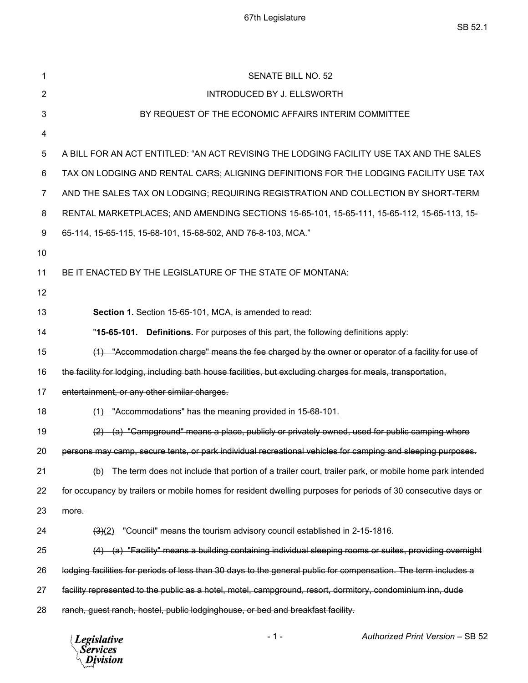| 1              | <b>SENATE BILL NO. 52</b>                                                                                       |
|----------------|-----------------------------------------------------------------------------------------------------------------|
| 2              | INTRODUCED BY J. ELLSWORTH                                                                                      |
| 3              | BY REQUEST OF THE ECONOMIC AFFAIRS INTERIM COMMITTEE                                                            |
| 4              |                                                                                                                 |
| 5              | A BILL FOR AN ACT ENTITLED: "AN ACT REVISING THE LODGING FACILITY USE TAX AND THE SALES                         |
| 6              | TAX ON LODGING AND RENTAL CARS; ALIGNING DEFINITIONS FOR THE LODGING FACILITY USE TAX                           |
| $\overline{7}$ | AND THE SALES TAX ON LODGING; REQUIRING REGISTRATION AND COLLECTION BY SHORT-TERM                               |
| 8              | RENTAL MARKETPLACES; AND AMENDING SECTIONS 15-65-101, 15-65-111, 15-65-112, 15-65-113, 15-                      |
| 9              | 65-114, 15-65-115, 15-68-101, 15-68-502, AND 76-8-103, MCA."                                                    |
| 10             |                                                                                                                 |
| 11             | BE IT ENACTED BY THE LEGISLATURE OF THE STATE OF MONTANA:                                                       |
| 12             |                                                                                                                 |
| 13             | Section 1. Section 15-65-101, MCA, is amended to read:                                                          |
| 14             | "15-65-101. Definitions. For purposes of this part, the following definitions apply:                            |
| 15             | (1) "Accommodation charge" means the fee charged by the owner or operator of a facility for use of              |
| 16             | the facility for lodging, including bath house facilities, but excluding charges for meals, transportation,     |
| 17             | entertainment, or any other similar charges.                                                                    |
| 18             | "Accommodations" has the meaning provided in 15-68-101.<br>(1)                                                  |
| 19             | (a) "Campground" means a place, publicly or privately owned, used for public camping where                      |
| 20             | persons may camp, secure tents, or park individual recreational vehicles for camping and sleeping purposes      |
| 21             | (b) The term does not include that portion of a trailer court, trailer park, or mobile home park intended       |
| 22             | for occupancy by trailers or mobile homes for resident dwelling purposes for periods of 30 consecutive days or  |
| 23             | more.                                                                                                           |
| 24             | "Council" means the tourism advisory council established in 2-15-1816.<br>$\frac{(3)(2)}{2}$                    |
| 25             | (a) "Facility" means a building containing individual sleeping rooms or suites, providing overnight             |
| 26             | lodging facilities for periods of less than 30 days to the general public for compensation. The term includes a |
| 27             | facility represented to the public as a hotel, motel, campground, resort, dormitory, condominium inn, dude      |
| 28             | ranch, guest ranch, hostel, public lodginghouse, or bed and breakfast facility.                                 |
|                |                                                                                                                 |

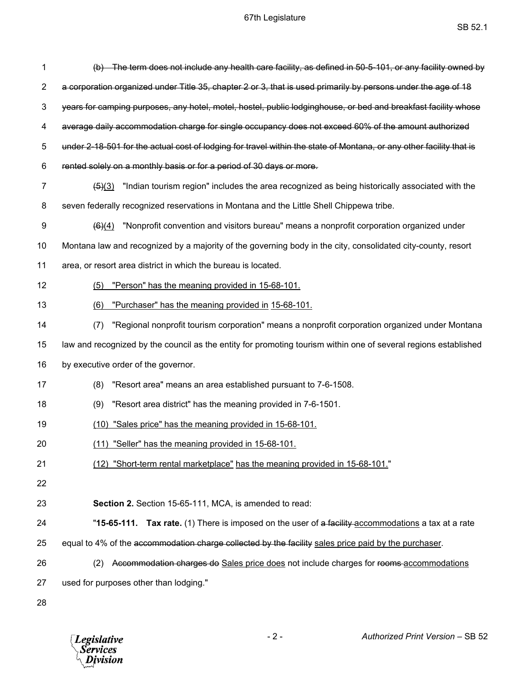| 1  | (b) The term does not include any health care facility, as defined in 50-5-101, or any facility owned by            |
|----|---------------------------------------------------------------------------------------------------------------------|
| 2  | a corporation organized under Title 35, chapter 2 or 3, that is used primarily by persons under the age of 18       |
| 3  | years for camping purposes, any hotel, motel, hostel, public lodginghouse, or bed and breakfast facility whose      |
| 4  | average daily accommodation charge for single occupancy does not exceed 60% of the amount authorized                |
| 5  | under 2-18-501 for the actual cost of lodging for travel within the state of Montana, or any other facility that is |
| 6  | rented solely on a monthly basis or for a period of 30 days or more.                                                |
| 7  | "Indian tourism region" includes the area recognized as being historically associated with the<br>(5)(3)            |
| 8  | seven federally recognized reservations in Montana and the Little Shell Chippewa tribe.                             |
| 9  | "Nonprofit convention and visitors bureau" means a nonprofit corporation organized under<br>(6)(4)                  |
| 10 | Montana law and recognized by a majority of the governing body in the city, consolidated city-county, resort        |
| 11 | area, or resort area district in which the bureau is located.                                                       |
| 12 | "Person" has the meaning provided in 15-68-101.<br>(5)                                                              |
| 13 | "Purchaser" has the meaning provided in 15-68-101.<br>(6)                                                           |
| 14 | "Regional nonprofit tourism corporation" means a nonprofit corporation organized under Montana<br>(7)               |
| 15 | law and recognized by the council as the entity for promoting tourism within one of several regions established     |
| 16 | by executive order of the governor.                                                                                 |
| 17 | (8)<br>"Resort area" means an area established pursuant to 7-6-1508.                                                |
| 18 | "Resort area district" has the meaning provided in 7-6-1501.<br>(9)                                                 |
| 19 | (10) "Sales price" has the meaning provided in 15-68-101.                                                           |
| 20 | (11) "Seller" has the meaning provided in 15-68-101.                                                                |
| 21 | (12) "Short-term rental marketplace" has the meaning provided in 15-68-101."                                        |
| 22 |                                                                                                                     |
| 23 | Section 2. Section 15-65-111, MCA, is amended to read:                                                              |
| 24 | "15-65-111. Tax rate. (1) There is imposed on the user of a facility accommodations a tax at a rate                 |
| 25 | equal to 4% of the accommodation charge collected by the facility sales price paid by the purchaser.                |
| 26 | Accommodation charges do Sales price does not include charges for rooms-accommodations<br>(2)                       |
| 27 | used for purposes other than lodging."                                                                              |
| 28 |                                                                                                                     |

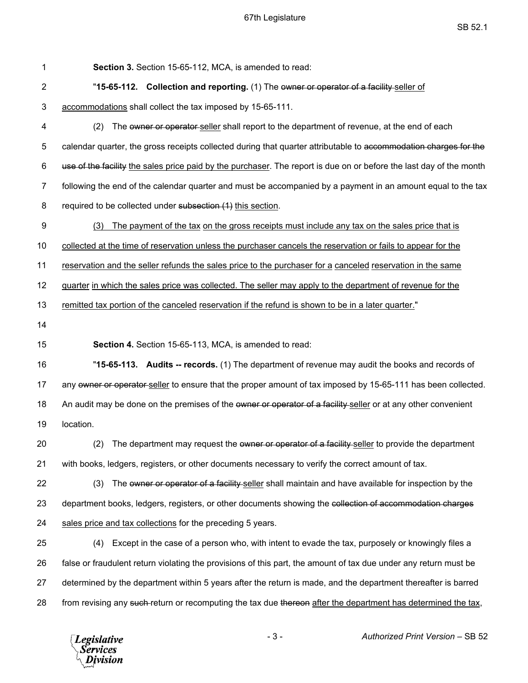| 1              | Section 3. Section 15-65-112, MCA, is amended to read:                                                              |
|----------------|---------------------------------------------------------------------------------------------------------------------|
| $\overline{2}$ | "15-65-112. Collection and reporting. (1) The owner or operator of a facility-seller of                             |
| 3              | accommodations shall collect the tax imposed by 15-65-111.                                                          |
| 4              | (2)<br>The owner or operator seller shall report to the department of revenue, at the end of each                   |
| 5              | calendar quarter, the gross receipts collected during that quarter attributable to accommodation charges for the    |
| 6              | use of the facility the sales price paid by the purchaser. The report is due on or before the last day of the month |
| $\overline{7}$ | following the end of the calendar quarter and must be accompanied by a payment in an amount equal to the tax        |
| 8              | required to be collected under subsection (1) this section.                                                         |
| 9              | The payment of the tax on the gross receipts must include any tax on the sales price that is<br>(3)                 |
| 10             | collected at the time of reservation unless the purchaser cancels the reservation or fails to appear for the        |
| 11             | reservation and the seller refunds the sales price to the purchaser for a canceled reservation in the same          |
| 12             | guarter in which the sales price was collected. The seller may apply to the department of revenue for the           |
| 13             | remitted tax portion of the canceled reservation if the refund is shown to be in a later quarter."                  |
| 14             |                                                                                                                     |
|                |                                                                                                                     |
| 15             | Section 4. Section 15-65-113, MCA, is amended to read:                                                              |
| 16             | "15-65-113. Audits -- records. (1) The department of revenue may audit the books and records of                     |
| 17             | any owner or operator-seller to ensure that the proper amount of tax imposed by 15-65-111 has been collected.       |
| 18             | An audit may be done on the premises of the ewner or operator of a facility-seller or at any other convenient       |
| 19             | location.                                                                                                           |
| 20             | (2) The department may request the owner or operator of a facility-seller to provide the department                 |
| 21             | with books, ledgers, registers, or other documents necessary to verify the correct amount of tax.                   |
| 22             | The owner or operator of a facility-seller shall maintain and have available for inspection by the<br>(3)           |
| 23             | department books, ledgers, registers, or other documents showing the collection of accommodation charges            |
| 24             | sales price and tax collections for the preceding 5 years.                                                          |
| 25             | Except in the case of a person who, with intent to evade the tax, purposely or knowingly files a<br>(4)             |
| 26             | false or fraudulent return violating the provisions of this part, the amount of tax due under any return must be    |
| 27             | determined by the department within 5 years after the return is made, and the department thereafter is barred       |

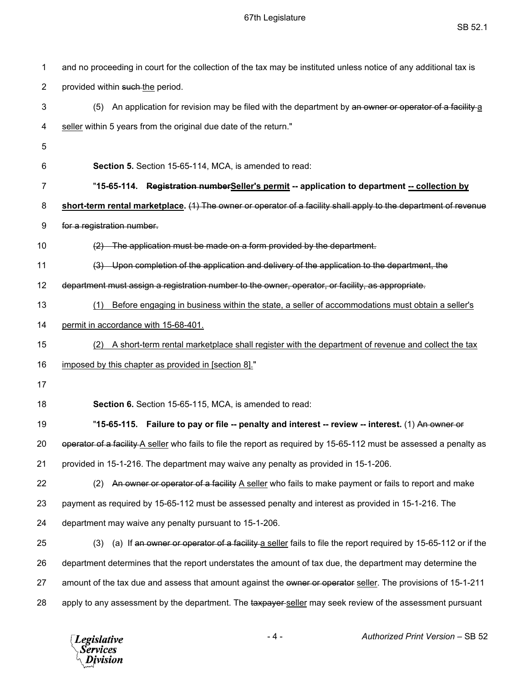| 1              | and no proceeding in court for the collection of the tax may be instituted unless notice of any additional tax is   |
|----------------|---------------------------------------------------------------------------------------------------------------------|
| $\overline{2}$ | provided within such the period.                                                                                    |
| 3              | An application for revision may be filed with the department by an owner or operator of a facility a<br>(5)         |
| 4              | seller within 5 years from the original due date of the return."                                                    |
| 5              |                                                                                                                     |
| 6              | Section 5. Section 15-65-114, MCA, is amended to read:                                                              |
| 7              | "15-65-114. Registration numberSeller's permit -- application to department -- collection by                        |
| 8              | short-term rental marketplace. (1) The owner or operator of a facility shall apply to the department of revenue     |
| 9              | for a registration number.                                                                                          |
| 10             | The application must be made on a form provided by the department.                                                  |
| 11             | (3) Upon completion of the application and delivery of the application to the department, the                       |
| 12             | department must assign a registration number to the owner, operator, or facility, as appropriate.                   |
| 13             | Before engaging in business within the state, a seller of accommodations must obtain a seller's<br>(1)              |
| 14             | permit in accordance with 15-68-401.                                                                                |
| 15             | A short-term rental marketplace shall register with the department of revenue and collect the tax<br>(2)            |
| 16             | imposed by this chapter as provided in [section 8]."                                                                |
| 17             |                                                                                                                     |
| 18             | Section 6. Section 15-65-115, MCA, is amended to read:                                                              |
| 19             | "15-65-115. Failure to pay or file -- penalty and interest -- review -- interest. (1) An owner or                   |
| 20             | operator of a facility A seller who fails to file the report as required by 15-65-112 must be assessed a penalty as |
| 21             | provided in 15-1-216. The department may waive any penalty as provided in 15-1-206.                                 |
| 22             | An owner or operator of a facility A seller who fails to make payment or fails to report and make<br>(2)            |
| 23             | payment as required by 15-65-112 must be assessed penalty and interest as provided in 15-1-216. The                 |
| 24             | department may waive any penalty pursuant to 15-1-206.                                                              |
| 25             | (a) If an owner or operator of a facility a seller fails to file the report required by 15-65-112 or if the<br>(3)  |
| 26             | department determines that the report understates the amount of tax due, the department may determine the           |
| 27             | amount of the tax due and assess that amount against the owner or operator seller. The provisions of 15-1-211       |
| 28             | apply to any assessment by the department. The taxpayer seller may seek review of the assessment pursuant           |

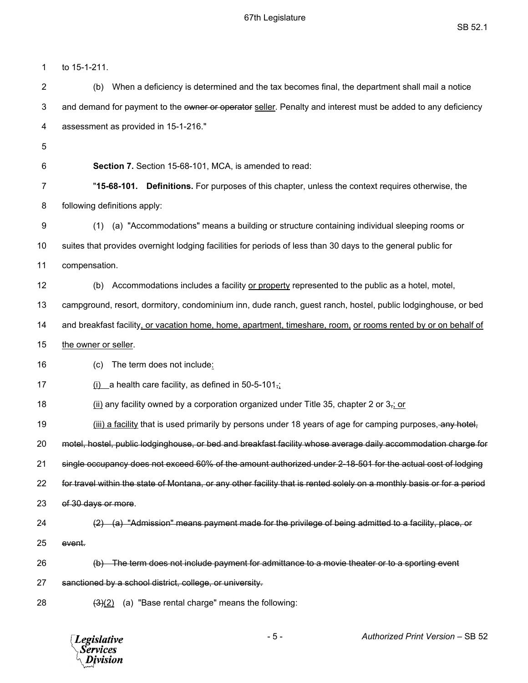1 to 15-1-211. 2 (b) When a deficiency is determined and the tax becomes final, the department shall mail a notice 3 and demand for payment to the owner or operator seller. Penalty and interest must be added to any deficiency 4 assessment as provided in 15-1-216." 5 6 **Section 7.** Section 15-68-101, MCA, is amended to read: 7 "**15-68-101. Definitions.** For purposes of this chapter, unless the context requires otherwise, the 8 following definitions apply: 9 (1) (a) "Accommodations" means a building or structure containing individual sleeping rooms or 10 suites that provides overnight lodging facilities for periods of less than 30 days to the general public for 11 compensation. 12 (b) Accommodations includes a facility or property represented to the public as a hotel, motel, 13 campground, resort, dormitory, condominium inn, dude ranch, guest ranch, hostel, public lodginghouse, or bed 14 and breakfast facility, or vacation home, home, apartment, timeshare, room, or rooms rented by or on behalf of 15 the owner or seller. 16 (c) The term does not include: 17 (i) a health care facility, as defined in 50-5-101 $\frac{1}{11}$ 18 (ii) any facility owned by a corporation organized under Title 35, chapter 2 or 3,; or 19 (iii) a facility that is used primarily by persons under 18 years of age for camping purposes, any hotel, 20 motel, hostel, public lodginghouse, or bed and breakfast facility whose average daily accommodation charge for 21 single occupancy does not exceed 60% of the amount authorized under 2-18-501 for the actual cost of lodging 22 for travel within the state of Montana, or any other facility that is rented solely on a monthly basis or for a period 23 of 30 days or more. 24 (2) (a) "Admission" means payment made for the privilege of being admitted to a facility, place, or 25 event. 26 (b) The term does not include payment for admittance to a movie theater or to a sporting event 27 sanctioned by a school district, college, or university. 28  $(3)(2)$  (a) "Base rental charge" means the following:



- 5 - *Authorized Print Version* – SB 52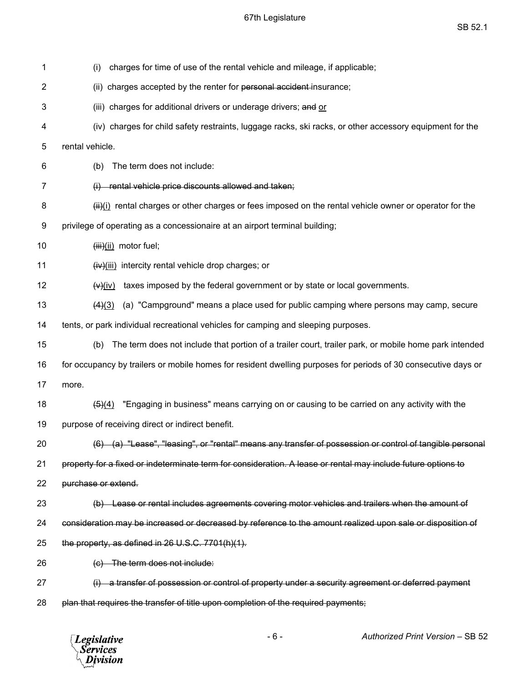# 67th Legislature

| 1  | charges for time of use of the rental vehicle and mileage, if applicable;<br>(i)                                    |
|----|---------------------------------------------------------------------------------------------------------------------|
| 2  | (ii) charges accepted by the renter for personal accident-insurance;                                                |
| 3  | (iii) charges for additional drivers or underage drivers; and or                                                    |
| 4  | (iv) charges for child safety restraints, luggage racks, ski racks, or other accessory equipment for the            |
| 5  | rental vehicle.                                                                                                     |
| 6  | The term does not include:<br>(b)                                                                                   |
| 7  | (i) rental vehicle price discounts allowed and taken;                                                               |
| 8  | (ii) rental charges or other charges or fees imposed on the rental vehicle owner or operator for the                |
| 9  | privilege of operating as a concessionaire at an airport terminal building;                                         |
| 10 | $(iii)(ii)$ motor fuel;                                                                                             |
| 11 | $(iv)(iii)$ intercity rental vehicle drop charges; or                                                               |
| 12 | taxes imposed by the federal government or by state or local governments.<br>(v)(iv)                                |
| 13 | (a) "Campground" means a place used for public camping where persons may camp, secure<br>(4)(3)                     |
| 14 | tents, or park individual recreational vehicles for camping and sleeping purposes.                                  |
| 15 | The term does not include that portion of a trailer court, trailer park, or mobile home park intended<br>(b)        |
| 16 | for occupancy by trailers or mobile homes for resident dwelling purposes for periods of 30 consecutive days or      |
| 17 | more.                                                                                                               |
| 18 | "Engaging in business" means carrying on or causing to be carried on any activity with the<br>$\left( 5\right) (4)$ |
| 19 | purpose of receiving direct or indirect benefit.                                                                    |
| 20 | (6) (a) "Lease", "leasing", or "rental" means any transfer of possession or control of tangible personal            |
| 21 | property for a fixed or indeterminate term for consideration. A lease or rental may include future options to       |
| 22 | purchase or extend.                                                                                                 |
| 23 | (b) Lease or rental includes agreements covering motor vehicles and trailers when the amount of                     |
| 24 | consideration may be increased or decreased by reference to the amount realized upon sale or disposition of         |
| 25 | the property, as defined in 26 U.S.C. 7701(h)(1).                                                                   |
| 26 | (c) The term does not include:                                                                                      |
| 27 | (i) a transfer of possession or control of property under a security agreement or deferred payment                  |
| 28 | plan that requires the transfer of title upon completion of the required payments;                                  |
|    |                                                                                                                     |

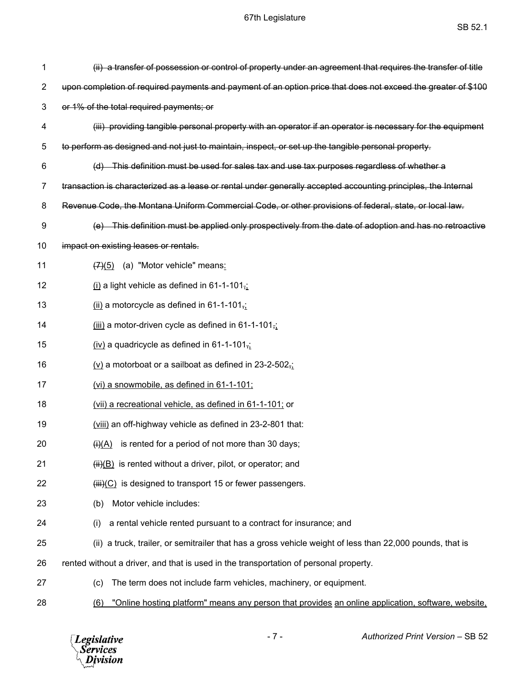| 1  | (ii) a transfer of possession or control of property under an agreement that requires the transfer of title    |
|----|----------------------------------------------------------------------------------------------------------------|
| 2  | upon completion of required payments and payment of an option price that does not exceed the greater of \$100  |
| 3  | or 1% of the total required payments; or                                                                       |
| 4  | (iii) providing tangible personal property with an operator if an operator is necessary for the equipment      |
| 5  | to perform as designed and not just to maintain, inspect, or set up the tangible personal property.            |
| 6  | (d) This definition must be used for sales tax and use tax purposes regardless of whether a                    |
| 7  | transaction is characterized as a lease or rental under generally accepted accounting principles, the Internal |
| 8  | Revenue Code, the Montana Uniform Commercial Code, or other provisions of federal, state, or local law.        |
| 9  | This definition must be applied only prospectively from the date of adoption and has no retroactive            |
| 10 | impact on existing leases or rentals.                                                                          |
| 11 | $(7)(5)$ (a) "Motor vehicle" means:                                                                            |
| 12 | $(i)$ a light vehicle as defined in 61-1-101,                                                                  |
| 13 | $(iii)$ a motorcycle as defined in 61-1-101 $\frac{1}{12}$                                                     |
| 14 | $(iii)$ a motor-driven cycle as defined in 61-1-101 $\frac{1}{12}$                                             |
| 15 | $(iv)$ a quadricycle as defined in 61-1-101,                                                                   |
| 16 | $(v)$ a motorboat or a sailboat as defined in 23-2-502 $\frac{1}{2}$                                           |
| 17 | (vi) a snowmobile, as defined in 61-1-101;                                                                     |
| 18 | (vii) a recreational vehicle, as defined in 61-1-101; or                                                       |
| 19 | (viii) an off-highway vehicle as defined in 23-2-801 that:                                                     |
| 20 | $\overline{(+)}$ is rented for a period of not more than 30 days;                                              |
| 21 | $\overline{H}(\overline{B})$ is rented without a driver, pilot, or operator; and                               |
| 22 | $(iii)(C)$ is designed to transport 15 or fewer passengers.                                                    |
| 23 | Motor vehicle includes:<br>(b)                                                                                 |
| 24 | a rental vehicle rented pursuant to a contract for insurance; and<br>(i)                                       |
| 25 | (ii) a truck, trailer, or semitrailer that has a gross vehicle weight of less than 22,000 pounds, that is      |
| 26 | rented without a driver, and that is used in the transportation of personal property.                          |
| 27 | The term does not include farm vehicles, machinery, or equipment.<br>(c)                                       |
| 28 | "Online hosting platform" means any person that provides an online application, software, website,<br>(6)      |

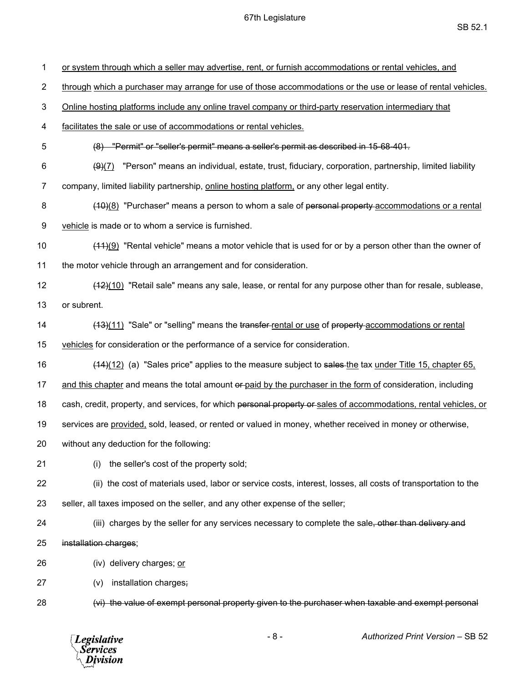1 or system through which a seller may advertise, rent, or furnish accommodations or rental vehicles, and 2 through which a purchaser may arrange for use of those accommodations or the use or lease of rental vehicles. 3 Online hosting platforms include any online travel company or third-party reservation intermediary that 4 facilitates the sale or use of accommodations or rental vehicles. 5 (8) "Permit" or "seller's permit" means a seller's permit as described in 15-68-401. 6  $(9)(7)$  "Person" means an individual, estate, trust, fiduciary, corporation, partnership, limited liability 7 company, limited liability partnership, online hosting platform, or any other legal entity. 8 (10)(8) "Purchaser" means a person to whom a sale of personal property accommodations or a rental 9 vehicle is made or to whom a service is furnished. 10 (11)(9) "Rental vehicle" means a motor vehicle that is used for or by a person other than the owner of 11 the motor vehicle through an arrangement and for consideration. 12 (12)(10) "Retail sale" means any sale, lease, or rental for any purpose other than for resale, sublease, 13 or subrent. 14 (13)(11) "Sale" or "selling" means the transfer-rental or use of property-accommodations or rental 15 vehicles for consideration or the performance of a service for consideration. 16 (14)(12) (a) "Sales price" applies to the measure subject to sales the tax under Title 15, chapter 65, 17 and this chapter and means the total amount or paid by the purchaser in the form of consideration, including 18 cash, credit, property, and services, for which personal property or sales of accommodations, rental vehicles, or 19 services are provided, sold, leased, or rented or valued in money, whether received in money or otherwise, 20 without any deduction for the following: 21 (i) the seller's cost of the property sold; 22 (ii) the cost of materials used, labor or service costs, interest, losses, all costs of transportation to the 23 seller, all taxes imposed on the seller, and any other expense of the seller; 24 (iii) charges by the seller for any services necessary to complete the sale, other than delivery and 25 installation charges; 26 (iv) delivery charges; or 27 (v) installation charges; 28 (vi) the value of exempt personal property given to the purchaser when taxable and exempt personal

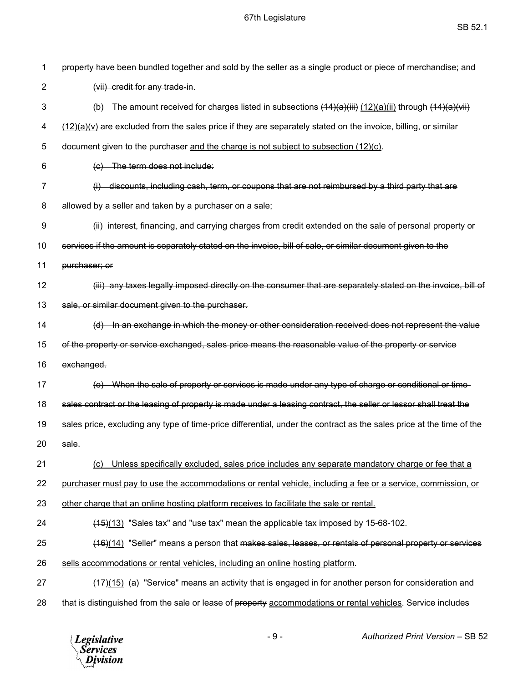| 1              | property have been bundled together and sold by the seller as a single product or piece of merchandise; and          |
|----------------|----------------------------------------------------------------------------------------------------------------------|
| $\overline{2}$ | (vii) credit for any trade-in.                                                                                       |
| 3              | The amount received for charges listed in subsections $(14)(a)(iii)(12)(a)(ii)$ through $(14)(a)(iii)$<br>(b)        |
| 4              | $(12)(a)(v)$ are excluded from the sales price if they are separately stated on the invoice, billing, or similar     |
| 5              | document given to the purchaser and the charge is not subject to subsection (12)(c).                                 |
| 6              | (c) The term does not include:                                                                                       |
| 7              | (i) discounts, including cash, term, or coupons that are not reimbursed by a third party that are                    |
| 8              | allowed by a seller and taken by a purchaser on a sale;                                                              |
| 9              | (ii) interest, financing, and carrying charges from credit extended on the sale of personal property or              |
| 10             | services if the amount is separately stated on the invoice, bill of sale, or similar document given to the           |
| 11             | purchaser; or                                                                                                        |
| 12             | (iii) any taxes legally imposed directly on the consumer that are separately stated on the invoice, bill of          |
| 13             | sale, or similar document given to the purchaser.                                                                    |
| 14             | (d) In an exchange in which the money or other consideration received does not represent the value                   |
| 15             | of the property or service exchanged, sales price means the reasonable value of the property or service              |
| 16             | exchanged.                                                                                                           |
| 17             | (e) When the sale of property or services is made under any type of charge or conditional or time-                   |
| 18             | sales contract or the leasing of property is made under a leasing contract, the seller or lessor shall treat the     |
| 19             | sales price, excluding any type of time-price differential, under the contract as the sales price at the time of the |
| 20             | sale.                                                                                                                |
| 21             | Unless specifically excluded, sales price includes any separate mandatory charge or fee that a<br>(C)                |
| 22             | purchaser must pay to use the accommodations or rental vehicle, including a fee or a service, commission, or         |
| 23             | other charge that an online hosting platform receives to facilitate the sale or rental.                              |
| 24             | $(15)(13)$ "Sales tax" and "use tax" mean the applicable tax imposed by 15-68-102.                                   |
| 25             | (16)(14) "Seller" means a person that makes sales, leases, or rentals of personal property or services               |
| 26             | sells accommodations or rental vehicles, including an online hosting platform.                                       |
| 27             | $(47)(15)$ (a) "Service" means an activity that is engaged in for another person for consideration and               |
| 28             | that is distinguished from the sale or lease of property accommodations or rental vehicles. Service includes         |

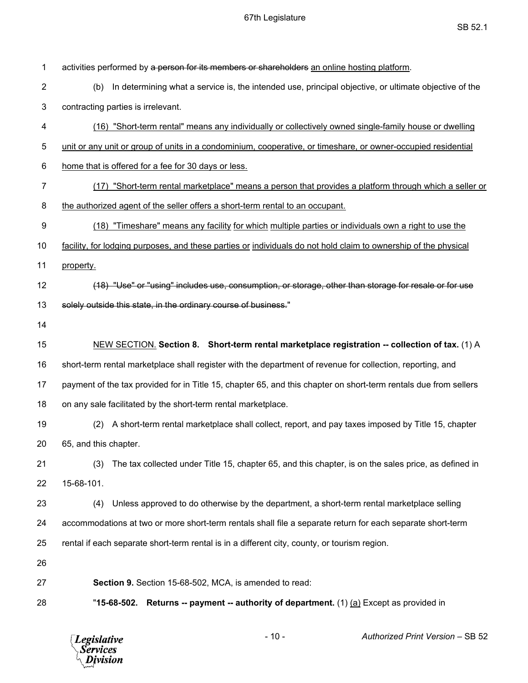| 1              | activities performed by a person for its members or shareholders an online hosting platform.                     |
|----------------|------------------------------------------------------------------------------------------------------------------|
| $\overline{2}$ | In determining what a service is, the intended use, principal objective, or ultimate objective of the<br>(b)     |
| 3              | contracting parties is irrelevant.                                                                               |
| 4              | (16) "Short-term rental" means any individually or collectively owned single-family house or dwelling            |
| 5              | unit or any unit or group of units in a condominium, cooperative, or timeshare, or owner-occupied residential    |
| 6              | home that is offered for a fee for 30 days or less.                                                              |
| 7              | (17) "Short-term rental marketplace" means a person that provides a platform through which a seller or           |
| 8              | the authorized agent of the seller offers a short-term rental to an occupant.                                    |
| 9              | (18) "Timeshare" means any facility for which multiple parties or individuals own a right to use the             |
| 10             | facility, for lodging purposes, and these parties or individuals do not hold claim to ownership of the physical  |
| 11             | property.                                                                                                        |
| 12             | (18) "Use" or "using" includes use, consumption, or storage, other than storage for resale or for use            |
| 13             | solely outside this state, in the ordinary course of business."                                                  |
| 14             |                                                                                                                  |
| 15             | NEW SECTION. Section 8. Short-term rental marketplace registration -- collection of tax. (1) A                   |
| 16             | short-term rental marketplace shall register with the department of revenue for collection, reporting, and       |
| 17             | payment of the tax provided for in Title 15, chapter 65, and this chapter on short-term rentals due from sellers |
| 18             | on any sale facilitated by the short-term rental marketplace.                                                    |
| 19             | A short-term rental marketplace shall collect, report, and pay taxes imposed by Title 15, chapter<br>(2)         |
| 20             | 65, and this chapter.                                                                                            |
| 21             | The tax collected under Title 15, chapter 65, and this chapter, is on the sales price, as defined in<br>(3)      |
| 22             | 15-68-101.                                                                                                       |
| 23             | Unless approved to do otherwise by the department, a short-term rental marketplace selling<br>(4)                |
| 24             | accommodations at two or more short-term rentals shall file a separate return for each separate short-term       |
| 25             | rental if each separate short-term rental is in a different city, county, or tourism region.                     |
| 26             |                                                                                                                  |
| 27             | Section 9. Section 15-68-502, MCA, is amended to read:                                                           |
| 28             | "15-68-502. Returns -- payment -- authority of department. (1) (a) Except as provided in                         |
|                |                                                                                                                  |

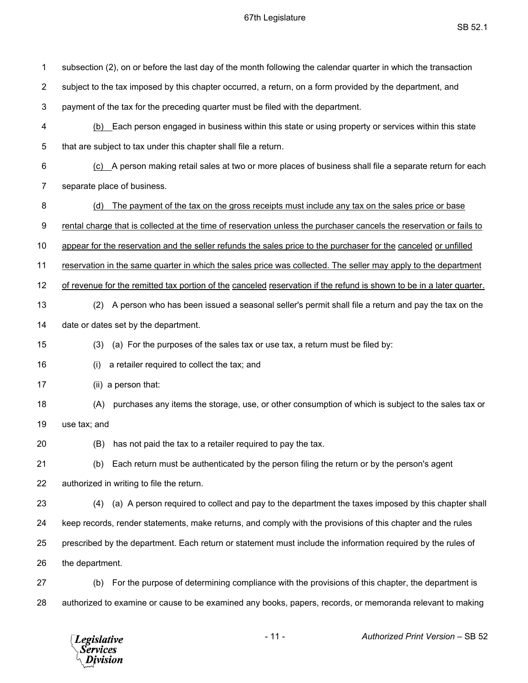| 1              | subsection (2), on or before the last day of the month following the calendar quarter in which the transaction       |
|----------------|----------------------------------------------------------------------------------------------------------------------|
| $\overline{2}$ | subject to the tax imposed by this chapter occurred, a return, on a form provided by the department, and             |
| 3              | payment of the tax for the preceding quarter must be filed with the department.                                      |
| 4              | (b) Each person engaged in business within this state or using property or services within this state                |
| 5              | that are subject to tax under this chapter shall file a return.                                                      |
| 6              | (c) A person making retail sales at two or more places of business shall file a separate return for each             |
| 7              | separate place of business.                                                                                          |
| 8              | The payment of the tax on the gross receipts must include any tax on the sales price or base<br>(d)                  |
| 9              | rental charge that is collected at the time of reservation unless the purchaser cancels the reservation or fails to  |
| 10             | appear for the reservation and the seller refunds the sales price to the purchaser for the canceled or unfilled      |
| 11             | reservation in the same quarter in which the sales price was collected. The seller may apply to the department       |
| 12             | of revenue for the remitted tax portion of the canceled reservation if the refund is shown to be in a later quarter. |
| 13             | A person who has been issued a seasonal seller's permit shall file a return and pay the tax on the<br>(2)            |
| 14             | date or dates set by the department.                                                                                 |
| 15             | (a) For the purposes of the sales tax or use tax, a return must be filed by:<br>(3)                                  |
| 16             | a retailer required to collect the tax; and<br>(i)                                                                   |
| 17             | (ii) a person that:                                                                                                  |
| 18             | purchases any items the storage, use, or other consumption of which is subject to the sales tax or<br>(A)            |
| 19             | use tax; and                                                                                                         |
| 20             | (B) has not paid the tax to a retailer required to pay the tax.                                                      |
| 21             | Each return must be authenticated by the person filing the return or by the person's agent<br>(b)                    |
| 22             | authorized in writing to file the return.                                                                            |
| 23             | (a) A person required to collect and pay to the department the taxes imposed by this chapter shall<br>(4)            |
| 24             | keep records, render statements, make returns, and comply with the provisions of this chapter and the rules          |
| 25             | prescribed by the department. Each return or statement must include the information required by the rules of         |
| 26             | the department.                                                                                                      |
| 27             | For the purpose of determining compliance with the provisions of this chapter, the department is<br>(b)              |
| 28             | authorized to examine or cause to be examined any books, papers, records, or memoranda relevant to making            |

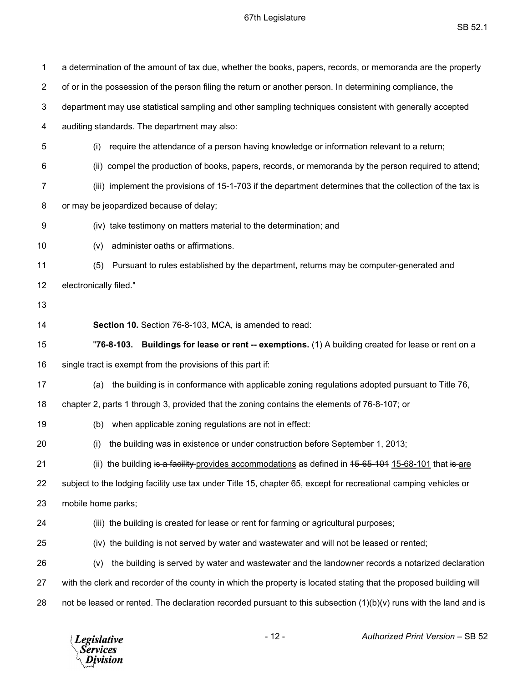| 1              | a determination of the amount of tax due, whether the books, papers, records, or memoranda are the property        |
|----------------|--------------------------------------------------------------------------------------------------------------------|
| $\overline{2}$ | of or in the possession of the person filing the return or another person. In determining compliance, the          |
| 3              | department may use statistical sampling and other sampling techniques consistent with generally accepted           |
| 4              | auditing standards. The department may also:                                                                       |
| 5              | require the attendance of a person having knowledge or information relevant to a return;<br>(i)                    |
| 6              | (ii) compel the production of books, papers, records, or memoranda by the person required to attend;               |
| 7              | (iii) implement the provisions of 15-1-703 if the department determines that the collection of the tax is          |
| 8              | or may be jeopardized because of delay;                                                                            |
| 9              | (iv) take testimony on matters material to the determination; and                                                  |
| 10             | administer oaths or affirmations.<br>(v)                                                                           |
| 11             | Pursuant to rules established by the department, returns may be computer-generated and<br>(5)                      |
| 12             | electronically filed."                                                                                             |
| 13             |                                                                                                                    |
| 14             | Section 10. Section 76-8-103, MCA, is amended to read:                                                             |
|                |                                                                                                                    |
| 15             | "76-8-103. Buildings for lease or rent -- exemptions. (1) A building created for lease or rent on a                |
| 16             | single tract is exempt from the provisions of this part if:                                                        |
| 17             | the building is in conformance with applicable zoning regulations adopted pursuant to Title 76,<br>(a)             |
| 18             | chapter 2, parts 1 through 3, provided that the zoning contains the elements of 76-8-107; or                       |
| 19             | when applicable zoning regulations are not in effect:<br>(b)                                                       |
| 20             | (i) the building was in existence or under construction before September 1, 2013;                                  |
| 21             | (ii) the building is a facility-provides accommodations as defined in 45-65-101 15-68-101 that is are              |
| 22             | subject to the lodging facility use tax under Title 15, chapter 65, except for recreational camping vehicles or    |
| 23             | mobile home parks;                                                                                                 |
| 24             | (iii) the building is created for lease or rent for farming or agricultural purposes;                              |
| 25             | (iv) the building is not served by water and wastewater and will not be leased or rented;                          |
| 26             | the building is served by water and wastewater and the landowner records a notarized declaration<br>(v)            |
| 27             | with the clerk and recorder of the county in which the property is located stating that the proposed building will |